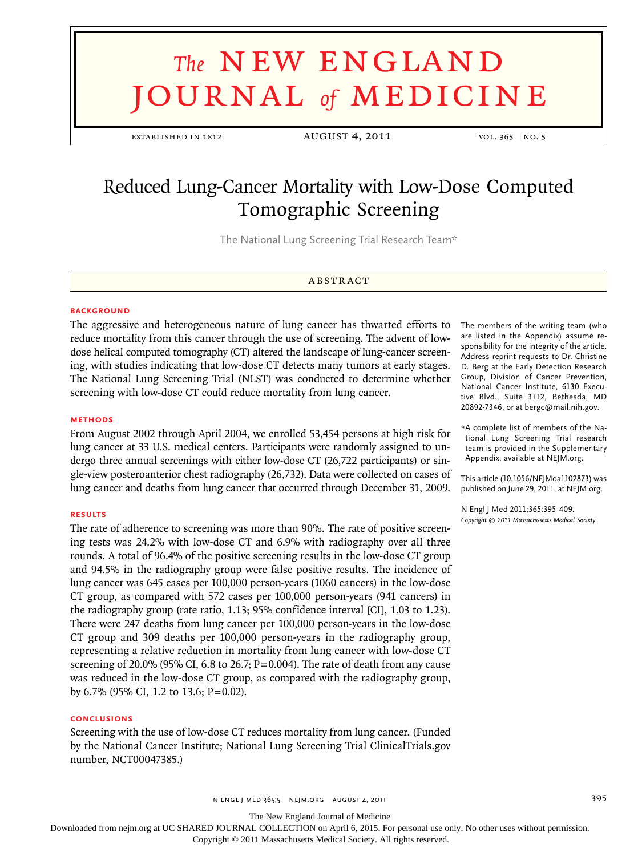# **The NEW ENGLAND** journal *of* medicine

ESTABLISHED IN 1812 AUGUST 4, 2011 vol. 365 NO. 5

# Reduced Lung-Cancer Mortality with Low-Dose Computed Tomographic Screening

The National Lung Screening Trial Research Team\*

#### **ABSTRACT**

#### **BACKGROUND**

The aggressive and heterogeneous nature of lung cancer has thwarted efforts to reduce mortality from this cancer through the use of screening. The advent of lowdose helical computed tomography (CT) altered the landscape of lung-cancer screening, with studies indicating that low-dose CT detects many tumors at early stages. The National Lung Screening Trial (NLST) was conducted to determine whether screening with low-dose CT could reduce mortality from lung cancer.

#### **Methods**

From August 2002 through April 2004, we enrolled 53,454 persons at high risk for lung cancer at 33 U.S. medical centers. Participants were randomly assigned to undergo three annual screenings with either low-dose CT (26,722 participants) or single-view posteroanterior chest radiography (26,732). Data were collected on cases of lung cancer and deaths from lung cancer that occurred through December 31, 2009.

#### **Results**

The rate of adherence to screening was more than 90%. The rate of positive screening tests was 24.2% with low-dose CT and 6.9% with radiography over all three rounds. A total of 96.4% of the positive screening results in the low-dose CT group and 94.5% in the radiography group were false positive results. The incidence of lung cancer was 645 cases per 100,000 person-years (1060 cancers) in the low-dose CT group, as compared with 572 cases per 100,000 person-years (941 cancers) in the radiography group (rate ratio, 1.13; 95% confidence interval [CI], 1.03 to 1.23). There were 247 deaths from lung cancer per 100,000 person-years in the low-dose CT group and 309 deaths per 100,000 person-years in the radiography group, representing a relative reduction in mortality from lung cancer with low-dose CT screening of 20.0% (95% CI, 6.8 to 26.7;  $P = 0.004$ ). The rate of death from any cause was reduced in the low-dose CT group, as compared with the radiography group, by 6.7% (95% CI, 1.2 to 13.6; P=0.02).

#### **Conclusions**

Screening with the use of low-dose CT reduces mortality from lung cancer. (Funded by the National Cancer Institute; National Lung Screening Trial ClinicalTrials.gov number, NCT00047385.)

The members of the writing team (who are listed in the Appendix) assume responsibility for the integrity of the article. Address reprint requests to Dr. Christine D. Berg at the Early Detection Research Group, Division of Cancer Prevention, National Cancer Institute, 6130 Executive Blvd., Suite 3112, Bethesda, MD 20892-7346, or at bergc@mail.nih.gov.

\*A complete list of members of the National Lung Screening Trial research team is provided in the Supplementary Appendix, available at NEJM.org.

This article (10.1056/NEJMoa1102873) was published on June 29, 2011, at NEJM.org.

N Engl J Med 2011;365:395-409. *Copyright © 2011 Massachusetts Medical Society.*

n engl j med 365;5 nejm.org august 4, 2011 395

The New England Journal of Medicine

Downloaded from nejm.org at UC SHARED JOURNAL COLLECTION on April 6, 2015. For personal use only. No other uses without permission.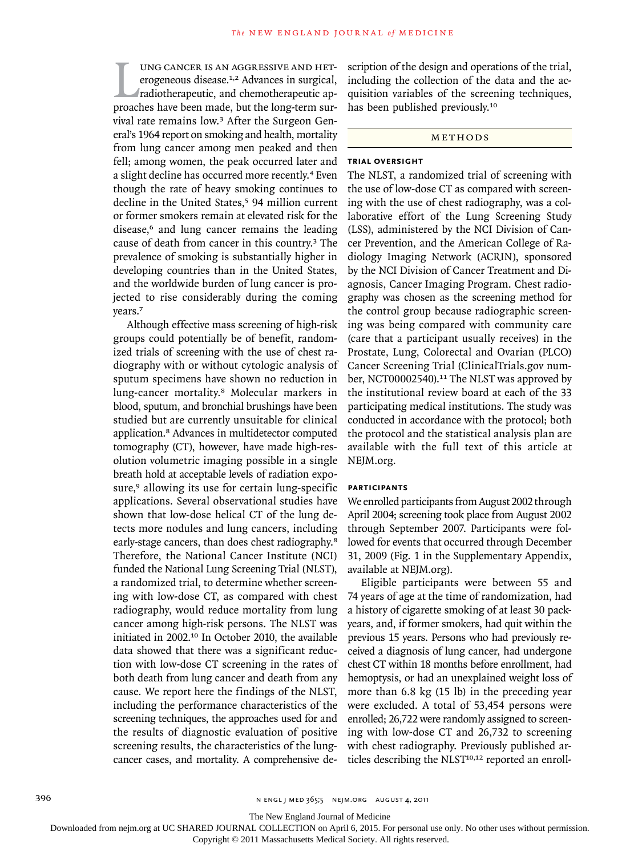UNG CANCER IS AN AGGRESSIVE AND HET-<br>erogeneous disease.<sup>1,2</sup> Advances in surgical,<br>radiotherapeutic, and chemotherapeutic ap-<br>proaches have been made, but the long-term surung cancer is an aggressive and heterogeneous disease.1,2 Advances in surgical, radiotherapeutic, and chemotherapeutic apvival rate remains low.3 After the Surgeon General's 1964 report on smoking and health, mortality from lung cancer among men peaked and then fell; among women, the peak occurred later and a slight decline has occurred more recently.<sup>4</sup> Even though the rate of heavy smoking continues to decline in the United States,<sup>5</sup> 94 million current or former smokers remain at elevated risk for the disease,<sup>6</sup> and lung cancer remains the leading cause of death from cancer in this country.3 The prevalence of smoking is substantially higher in developing countries than in the United States, and the worldwide burden of lung cancer is projected to rise considerably during the coming years.<sup>7</sup>

Although effective mass screening of high-risk groups could potentially be of benefit, randomized trials of screening with the use of chest radiography with or without cytologic analysis of sputum specimens have shown no reduction in lung-cancer mortality.8 Molecular markers in blood, sputum, and bronchial brushings have been studied but are currently unsuitable for clinical application.8 Advances in multidetector computed tomography (CT), however, have made high-resolution volumetric imaging possible in a single breath hold at acceptable levels of radiation exposure,<sup>9</sup> allowing its use for certain lung-specific applications. Several observational studies have shown that low-dose helical CT of the lung detects more nodules and lung cancers, including early-stage cancers, than does chest radiography.<sup>8</sup> Therefore, the National Cancer Institute (NCI) funded the National Lung Screening Trial (NLST), a randomized trial, to determine whether screening with low-dose CT, as compared with chest radiography, would reduce mortality from lung cancer among high-risk persons. The NLST was initiated in 2002.10 In October 2010, the available data showed that there was a significant reduction with low-dose CT screening in the rates of both death from lung cancer and death from any cause. We report here the findings of the NLST, including the performance characteristics of the screening techniques, the approaches used for and the results of diagnostic evaluation of positive screening results, the characteristics of the lungcancer cases, and mortality. A comprehensive description of the design and operations of the trial, including the collection of the data and the acquisition variables of the screening techniques, has been published previously.<sup>10</sup>

#### METHODS

#### **Trial Oversight**

The NLST, a randomized trial of screening with the use of low-dose CT as compared with screening with the use of chest radiography, was a collaborative effort of the Lung Screening Study (LSS), administered by the NCI Division of Cancer Prevention, and the American College of Radiology Imaging Network (ACRIN), sponsored by the NCI Division of Cancer Treatment and Diagnosis, Cancer Imaging Program. Chest radiography was chosen as the screening method for the control group because radiographic screening was being compared with community care (care that a participant usually receives) in the Prostate, Lung, Colorectal and Ovarian (PLCO) Cancer Screening Trial (ClinicalTrials.gov number, NCT00002540).<sup>11</sup> The NLST was approved by the institutional review board at each of the 33 participating medical institutions. The study was conducted in accordance with the protocol; both the protocol and the statistical analysis plan are available with the full text of this article at NEJM.org.

#### **Participants**

We enrolled participants from August 2002 through April 2004; screening took place from August 2002 through September 2007. Participants were followed for events that occurred through December 31, 2009 (Fig. 1 in the Supplementary Appendix, available at NEJM.org).

Eligible participants were between 55 and 74 years of age at the time of randomization, had a history of cigarette smoking of at least 30 packyears, and, if former smokers, had quit within the previous 15 years. Persons who had previously received a diagnosis of lung cancer, had undergone chest CT within 18 months before enrollment, had hemoptysis, or had an unexplained weight loss of more than 6.8 kg (15 lb) in the preceding year were excluded. A total of 53,454 persons were enrolled; 26,722 were randomly assigned to screening with low-dose CT and 26,732 to screening with chest radiography. Previously published articles describing the NLST<sup>10,12</sup> reported an enroll-

The New England Journal of Medicine

Downloaded from nejm.org at UC SHARED JOURNAL COLLECTION on April 6, 2015. For personal use only. No other uses without permission.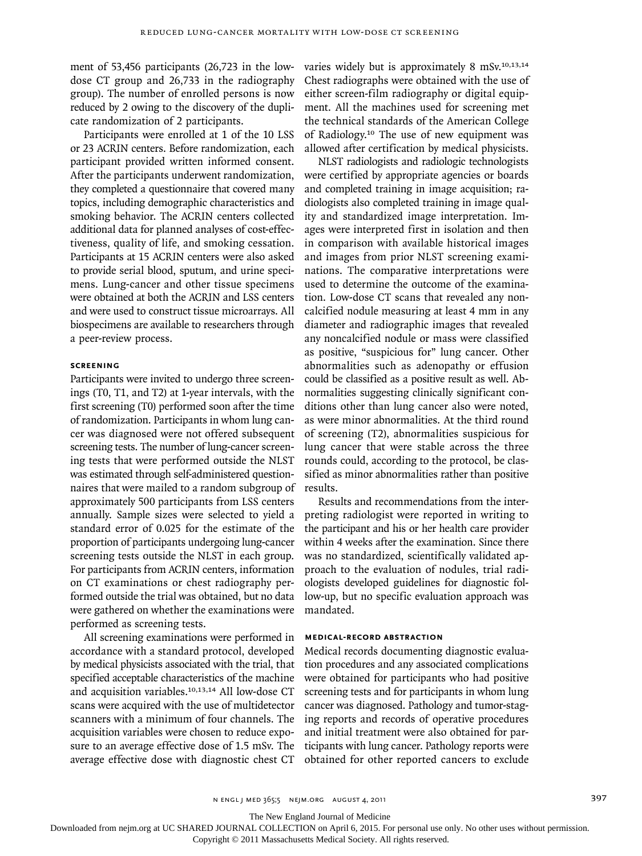ment of 53,456 participants (26,723 in the lowdose CT group and 26,733 in the radiography group). The number of enrolled persons is now reduced by 2 owing to the discovery of the duplicate randomization of 2 participants.

Participants were enrolled at 1 of the 10 LSS or 23 ACRIN centers. Before randomization, each participant provided written informed consent. After the participants underwent randomization, they completed a questionnaire that covered many topics, including demographic characteristics and smoking behavior. The ACRIN centers collected additional data for planned analyses of cost-effectiveness, quality of life, and smoking cessation. Participants at 15 ACRIN centers were also asked to provide serial blood, sputum, and urine specimens. Lung-cancer and other tissue specimens were obtained at both the ACRIN and LSS centers and were used to construct tissue microarrays. All biospecimens are available to researchers through a peer-review process.

#### **Screening**

Participants were invited to undergo three screenings (T0, T1, and T2) at 1-year intervals, with the first screening (T0) performed soon after the time of randomization. Participants in whom lung cancer was diagnosed were not offered subsequent screening tests. The number of lung-cancer screening tests that were performed outside the NLST was estimated through self-administered questionnaires that were mailed to a random subgroup of approximately 500 participants from LSS centers annually. Sample sizes were selected to yield a standard error of 0.025 for the estimate of the proportion of participants undergoing lung-cancer screening tests outside the NLST in each group. For participants from ACRIN centers, information on CT examinations or chest radiography performed outside the trial was obtained, but no data were gathered on whether the examinations were performed as screening tests.

All screening examinations were performed in accordance with a standard protocol, developed by medical physicists associated with the trial, that specified acceptable characteristics of the machine and acquisition variables.10,13,14 All low-dose CT scans were acquired with the use of multidetector scanners with a minimum of four channels. The acquisition variables were chosen to reduce exposure to an average effective dose of 1.5 mSv. The average effective dose with diagnostic chest CT varies widely but is approximately 8 mSv.10,13,14 Chest radiographs were obtained with the use of either screen-film radiography or digital equipment. All the machines used for screening met the technical standards of the American College of Radiology.10 The use of new equipment was allowed after certification by medical physicists.

NLST radiologists and radiologic technologists were certified by appropriate agencies or boards and completed training in image acquisition; radiologists also completed training in image quality and standardized image interpretation. Images were interpreted first in isolation and then in comparison with available historical images and images from prior NLST screening examinations. The comparative interpretations were used to determine the outcome of the examination. Low-dose CT scans that revealed any noncalcified nodule measuring at least 4 mm in any diameter and radiographic images that revealed any noncalcified nodule or mass were classified as positive, "suspicious for" lung cancer. Other abnormalities such as adenopathy or effusion could be classified as a positive result as well. Abnormalities suggesting clinically significant conditions other than lung cancer also were noted, as were minor abnormalities. At the third round of screening (T2), abnormalities suspicious for lung cancer that were stable across the three rounds could, according to the protocol, be classified as minor abnormalities rather than positive results.

Results and recommendations from the interpreting radiologist were reported in writing to the participant and his or her health care provider within 4 weeks after the examination. Since there was no standardized, scientifically validated approach to the evaluation of nodules, trial radiologists developed guidelines for diagnostic follow-up, but no specific evaluation approach was mandated.

#### **Medical-Record Abstraction**

Medical records documenting diagnostic evaluation procedures and any associated complications were obtained for participants who had positive screening tests and for participants in whom lung cancer was diagnosed. Pathology and tumor-staging reports and records of operative procedures and initial treatment were also obtained for participants with lung cancer. Pathology reports were obtained for other reported cancers to exclude

The New England Journal of Medicine

Downloaded from nejm.org at UC SHARED JOURNAL COLLECTION on April 6, 2015. For personal use only. No other uses without permission.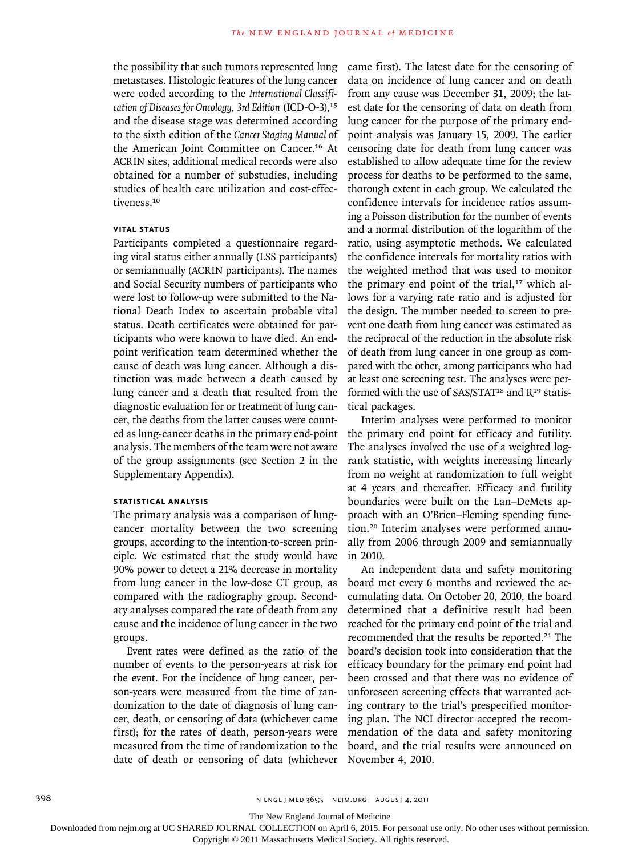the possibility that such tumors represented lung metastases. Histologic features of the lung cancer were coded according to the *International Classification of Diseases for Oncology, 3rd Edition* (ICD-O-3),<sup>15</sup> and the disease stage was determined according to the sixth edition of the *Cancer Staging Manual* of the American Joint Committee on Cancer.16 At ACRIN sites, additional medical records were also obtained for a number of substudies, including studies of health care utilization and cost-effectiveness.<sup>10</sup>

## **Vital Status**

Participants completed a questionnaire regarding vital status either annually (LSS participants) or semiannually (ACRIN participants). The names and Social Security numbers of participants who were lost to follow-up were submitted to the National Death Index to ascertain probable vital status. Death certificates were obtained for participants who were known to have died. An endpoint verification team determined whether the cause of death was lung cancer. Although a distinction was made between a death caused by lung cancer and a death that resulted from the diagnostic evaluation for or treatment of lung cancer, the deaths from the latter causes were counted as lung-cancer deaths in the primary end-point analysis. The members of the team were not aware of the group assignments (see Section 2 in the Supplementary Appendix).

# **Statistical Analysis**

The primary analysis was a comparison of lungcancer mortality between the two screening groups, according to the intention-to-screen principle. We estimated that the study would have 90% power to detect a 21% decrease in mortality from lung cancer in the low-dose CT group, as compared with the radiography group. Secondary analyses compared the rate of death from any cause and the incidence of lung cancer in the two groups.

Event rates were defined as the ratio of the number of events to the person-years at risk for the event. For the incidence of lung cancer, person-years were measured from the time of randomization to the date of diagnosis of lung cancer, death, or censoring of data (whichever came first); for the rates of death, person-years were measured from the time of randomization to the date of death or censoring of data (whichever came first). The latest date for the censoring of data on incidence of lung cancer and on death from any cause was December 31, 2009; the latest date for the censoring of data on death from lung cancer for the purpose of the primary endpoint analysis was January 15, 2009. The earlier censoring date for death from lung cancer was established to allow adequate time for the review process for deaths to be performed to the same, thorough extent in each group. We calculated the confidence intervals for incidence ratios assuming a Poisson distribution for the number of events and a normal distribution of the logarithm of the ratio, using asymptotic methods. We calculated the confidence intervals for mortality ratios with the weighted method that was used to monitor the primary end point of the trial,<sup>17</sup> which allows for a varying rate ratio and is adjusted for the design. The number needed to screen to prevent one death from lung cancer was estimated as the reciprocal of the reduction in the absolute risk of death from lung cancer in one group as compared with the other, among participants who had at least one screening test. The analyses were performed with the use of SAS/STAT<sup>18</sup> and  $R<sup>19</sup>$  statistical packages.

Interim analyses were performed to monitor the primary end point for efficacy and futility. The analyses involved the use of a weighted logrank statistic, with weights increasing linearly from no weight at randomization to full weight at 4 years and thereafter. Efficacy and futility boundaries were built on the Lan–DeMets approach with an O'Brien–Fleming spending function.20 Interim analyses were performed annually from 2006 through 2009 and semiannually in 2010.

An independent data and safety monitoring board met every 6 months and reviewed the accumulating data. On October 20, 2010, the board determined that a definitive result had been reached for the primary end point of the trial and recommended that the results be reported.<sup>21</sup> The board's decision took into consideration that the efficacy boundary for the primary end point had been crossed and that there was no evidence of unforeseen screening effects that warranted acting contrary to the trial's prespecified monitoring plan. The NCI director accepted the recommendation of the data and safety monitoring board, and the trial results were announced on November 4, 2010.

398 n engl j med 365;5 nejm.org august 4, 2011

The New England Journal of Medicine

Downloaded from nejm.org at UC SHARED JOURNAL COLLECTION on April 6, 2015. For personal use only. No other uses without permission.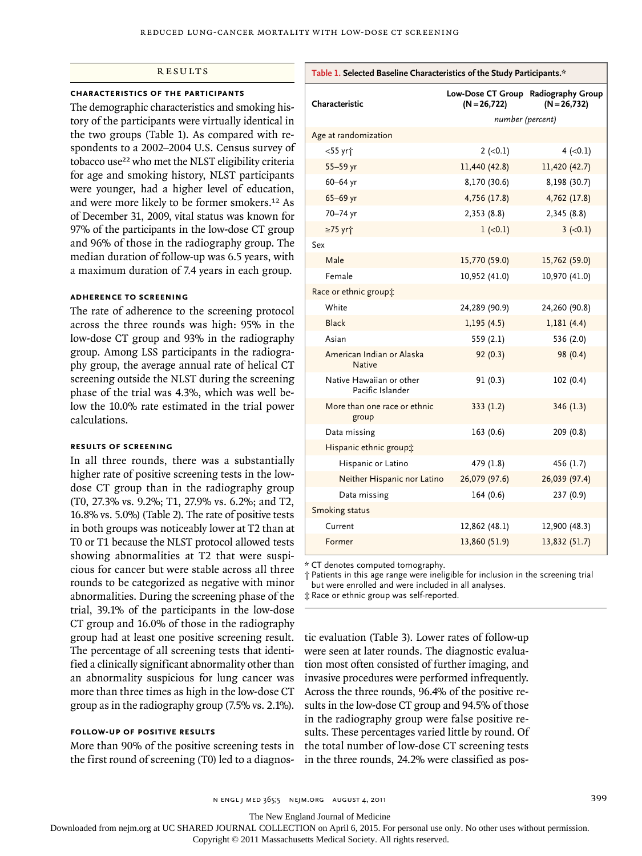#### **RESULTS**

#### **Characteristics of the Participants**

The demographic characteristics and smoking history of the participants were virtually identical in the two groups (Table 1). As compared with respondents to a 2002–2004 U.S. Census survey of tobacco use<sup>22</sup> who met the NLST eligibility criteria for age and smoking history, NLST participants were younger, had a higher level of education, and were more likely to be former smokers.12 As of December 31, 2009, vital status was known for 97% of the participants in the low-dose CT group and 96% of those in the radiography group. The median duration of follow-up was 6.5 years, with a maximum duration of 7.4 years in each group.

#### **Adherence to Screening**

The rate of adherence to the screening protocol across the three rounds was high: 95% in the low-dose CT group and 93% in the radiography group. Among LSS participants in the radiography group, the average annual rate of helical CT screening outside the NLST during the screening phase of the trial was 4.3%, which was well below the 10.0% rate estimated in the trial power calculations.

## **Results of Screening**

In all three rounds, there was a substantially higher rate of positive screening tests in the lowdose CT group than in the radiography group (T0, 27.3% vs. 9.2%; T1, 27.9% vs. 6.2%; and T2, 16.8% vs. 5.0%) (Table 2). The rate of positive tests in both groups was noticeably lower at T2 than at T0 or T1 because the NLST protocol allowed tests showing abnormalities at T2 that were suspicious for cancer but were stable across all three rounds to be categorized as negative with minor abnormalities. During the screening phase of the trial, 39.1% of the participants in the low-dose CT group and 16.0% of those in the radiography group had at least one positive screening result. The percentage of all screening tests that identified a clinically significant abnormality other than an abnormality suspicious for lung cancer was more than three times as high in the low-dose CT group as in the radiography group (7.5% vs. 2.1%).

# **Follow-up of Positive Results**

More than 90% of the positive screening tests in the first round of screening (T0) led to a diagnos-

| Characteristic                               | Low-Dose CT Group Radiography Group<br>$(N = 26, 722)$ | $(N = 26, 732)$ |
|----------------------------------------------|--------------------------------------------------------|-----------------|
|                                              | number (percent)                                       |                 |
| Age at randomization                         |                                                        |                 |
| <55 yr†                                      | $2 (-0.1)$                                             | $4 (-0.1)$      |
| 55-59 yr                                     | 11,440 (42.8)                                          | 11,420 (42.7)   |
| $60 - 64$ yr                                 | 8,170 (30.6)                                           | 8,198 (30.7)    |
| 65-69 yr                                     | 4,756 (17.8)                                           | 4,762 (17.8)    |
| 70-74 yr                                     | 2,353(8.8)                                             | 2,345(8.8)      |
| ≥75 yr <sup>+</sup>                          | $1 (-0.1)$                                             | $3 (-0.1)$      |
| Sex                                          |                                                        |                 |
| Male                                         | 15,770 (59.0)                                          | 15,762 (59.0)   |
| Female                                       | 10,952 (41.0)                                          | 10,970 (41.0)   |
| Race or ethnic group:                        |                                                        |                 |
| White                                        | 24,289 (90.9)                                          | 24,260 (90.8)   |
| <b>Black</b>                                 | 1,195(4.5)                                             | 1,181(4.4)      |
| Asian                                        | 559(2.1)                                               | 536 (2.0)       |
| American Indian or Alaska<br><b>Native</b>   | 92(0.3)                                                | 98 (0.4)        |
| Native Hawaiian or other<br>Pacific Islander | 91(0.3)                                                | 102(0.4)        |
| More than one race or ethnic<br>group        | 333(1.2)                                               | 346 (1.3)       |
| Data missing                                 | 163(0.6)                                               | 209 (0.8)       |
| Hispanic ethnic group:                       |                                                        |                 |
| Hispanic or Latino                           | 479 (1.8)                                              | 456 (1.7)       |
| Neither Hispanic nor Latino                  | 26,079 (97.6)                                          | 26,039 (97.4)   |
| Data missing                                 | 164(0.6)                                               | 237 (0.9)       |
| Smoking status                               |                                                        |                 |
| Current                                      | 12,862 (48.1)                                          | 12,900 (48.3)   |
| Former                                       | 13,860 (51.9)                                          | 13,832 (51.7)   |

**Table 1. Selected Baseline Characteristics of the Study Participants.\***

\* CT denotes computed tomography.

† Patients in this age range were ineligible for inclusion in the screening trial but were enrolled and were included in all analyses.

‡ Race or ethnic group was self-reported.

tic evaluation (Table 3). Lower rates of follow-up were seen at later rounds. The diagnostic evaluation most often consisted of further imaging, and invasive procedures were performed infrequently. Across the three rounds, 96.4% of the positive results in the low-dose CT group and 94.5% of those in the radiography group were false positive results. These percentages varied little by round. Of the total number of low-dose CT screening tests in the three rounds, 24.2% were classified as pos-

The New England Journal of Medicine

Downloaded from nejm.org at UC SHARED JOURNAL COLLECTION on April 6, 2015. For personal use only. No other uses without permission.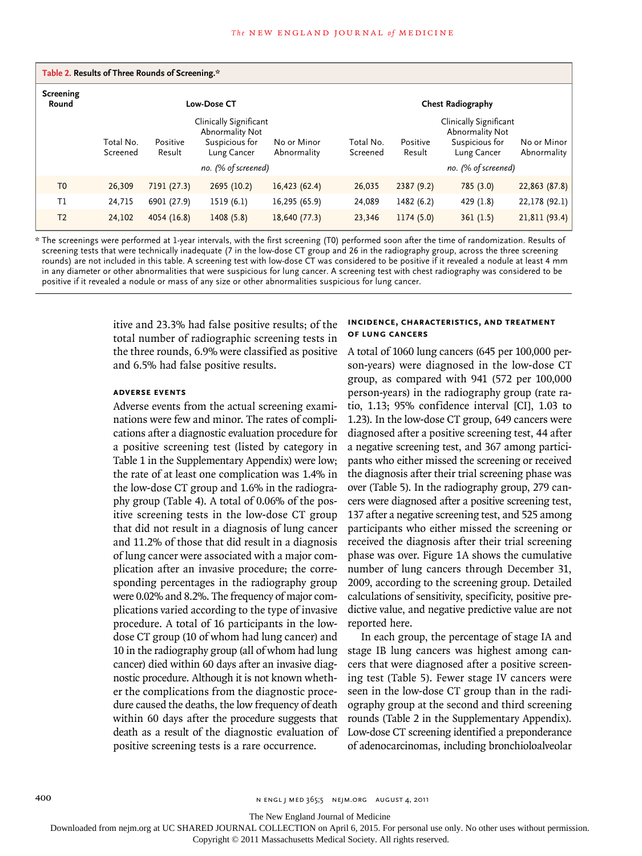|                           |                       | Table 2. Results of Three Rounds of Screening.* |                                                                            |                            |                       |                    |                                                                            |                            |
|---------------------------|-----------------------|-------------------------------------------------|----------------------------------------------------------------------------|----------------------------|-----------------------|--------------------|----------------------------------------------------------------------------|----------------------------|
| <b>Screening</b><br>Round |                       |                                                 | <b>Low-Dose CT</b>                                                         |                            |                       |                    | <b>Chest Radiography</b>                                                   |                            |
|                           | Total No.<br>Screened | Positive<br>Result                              | Clinically Significant<br>Abnormality Not<br>Suspicious for<br>Lung Cancer | No or Minor<br>Abnormality | Total No.<br>Screened | Positive<br>Result | Clinically Significant<br>Abnormality Not<br>Suspicious for<br>Lung Cancer | No or Minor<br>Abnormality |
|                           |                       |                                                 | no. (% of screened)                                                        |                            |                       |                    | no. (% of screened)                                                        |                            |
| T <sub>0</sub>            | 26,309                | 7191 (27.3)                                     | 2695 (10.2)                                                                | 16,423 (62.4)              | 26,035                | 2387(9.2)          | 785(3.0)                                                                   | $22,863$ (87.8)            |
| T1                        | 24,715                | 6901 (27.9)                                     | 1519 (6.1)                                                                 | 16,295 (65.9)              | 24,089                | 1482 (6.2)         | 429 (1.8)                                                                  | $22,178$ (92.1)            |
| T <sub>2</sub>            | 24,102                | 4054 (16.8)                                     | 1408(5.8)                                                                  | 18,640 (77.3)              | 23,346                | 1174(5.0)          | 361(1.5)                                                                   | 21,811(93.4)               |

\* The screenings were performed at 1-year intervals, with the first screening (T0) performed soon after the time of randomization. Results of screening tests that were technically inadequate (7 in the low-dose CT group and 26 in the radiography group, across the three screening rounds) are not included in this table. A screening test with low-dose CT was considered to be positive if it revealed a nodule at least 4 mm in any diameter or other abnormalities that were suspicious for lung cancer. A screening test with chest radiography was considered to be positive if it revealed a nodule or mass of any size or other abnormalities suspicious for lung cancer.

> itive and 23.3% had false positive results; of the total number of radiographic screening tests in the three rounds, 6.9% were classified as positive and 6.5% had false positive results.

#### **Adverse Events**

Adverse events from the actual screening examinations were few and minor. The rates of complications after a diagnostic evaluation procedure for a positive screening test (listed by category in Table 1 in the Supplementary Appendix) were low; the rate of at least one complication was 1.4% in the low-dose CT group and 1.6% in the radiography group (Table 4). A total of 0.06% of the positive screening tests in the low-dose CT group that did not result in a diagnosis of lung cancer and 11.2% of those that did result in a diagnosis of lung cancer were associated with a major complication after an invasive procedure; the corresponding percentages in the radiography group were 0.02% and 8.2%. The frequency of major complications varied according to the type of invasive procedure. A total of 16 participants in the lowdose CT group (10 of whom had lung cancer) and 10 in the radiography group (all of whom had lung cancer) died within 60 days after an invasive diagnostic procedure. Although it is not known whether the complications from the diagnostic procedure caused the deaths, the low frequency of death within 60 days after the procedure suggests that death as a result of the diagnostic evaluation of positive screening tests is a rare occurrence.

#### **Incidence, Characteristics, and Treatment of Lung Cancers**

A total of 1060 lung cancers (645 per 100,000 person-years) were diagnosed in the low-dose CT group, as compared with 941 (572 per 100,000 person-years) in the radiography group (rate ratio, 1.13; 95% confidence interval [CI], 1.03 to 1.23). In the low-dose CT group, 649 cancers were diagnosed after a positive screening test, 44 after a negative screening test, and 367 among participants who either missed the screening or received the diagnosis after their trial screening phase was over (Table 5). In the radiography group, 279 cancers were diagnosed after a positive screening test, 137 after a negative screening test, and 525 among participants who either missed the screening or received the diagnosis after their trial screening phase was over. Figure 1A shows the cumulative number of lung cancers through December 31, 2009, according to the screening group. Detailed calculations of sensitivity, specificity, positive predictive value, and negative predictive value are not reported here.

In each group, the percentage of stage IA and stage IB lung cancers was highest among cancers that were diagnosed after a positive screening test (Table 5). Fewer stage IV cancers were seen in the low-dose CT group than in the radiography group at the second and third screening rounds (Table 2 in the Supplementary Appendix). Low-dose CT screening identified a preponderance of adenocarcinomas, including bronchioloalveolar

The New England Journal of Medicine

Downloaded from nejm.org at UC SHARED JOURNAL COLLECTION on April 6, 2015. For personal use only. No other uses without permission.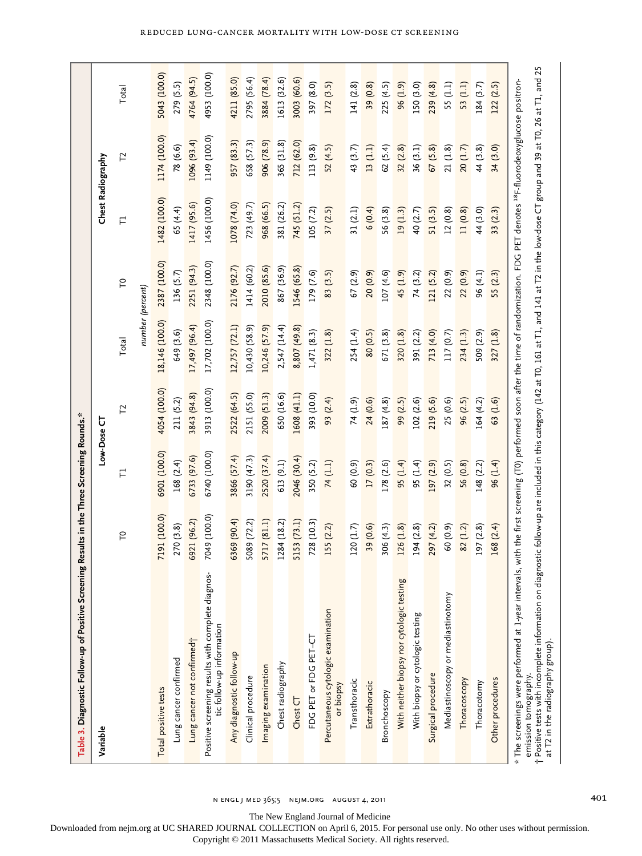|                                                    |                   | Total       |                  | 5043 (100.0)         | 279 (5.5)             | 4764 (94.5)                | 4953 (100.0)                                                                   | 4211 (85.0)              | 2795 (56.4)        | 3884 (78.4)         | 1613 (32.6)       | 3003 (60.6)  | 397 (8.0)             | 172(3.5)                                        | 141(2.8)      | 39 (0.8)      | 225 (4.5)    | 96 (1.9)                                  | 150 (3.0)                        | 239(4.8)           | 55 (1.1)                          | 53 (1.1)     | 184(3.7)    | 122(2.5)         |                                                                                                                                                                                                                                                                                                                                                                                                                                                                |
|----------------------------------------------------|-------------------|-------------|------------------|----------------------|-----------------------|----------------------------|--------------------------------------------------------------------------------|--------------------------|--------------------|---------------------|-------------------|--------------|-----------------------|-------------------------------------------------|---------------|---------------|--------------|-------------------------------------------|----------------------------------|--------------------|-----------------------------------|--------------|-------------|------------------|----------------------------------------------------------------------------------------------------------------------------------------------------------------------------------------------------------------------------------------------------------------------------------------------------------------------------------------------------------------------------------------------------------------------------------------------------------------|
|                                                    |                   | 12          |                  | 1174 (100.0)         | 78 (6.6)              | 1096 (93.4)                | 1149 (100.0)                                                                   | 957 (83.3)               | 658 (57.3)         | 906 (78.9)          | 365 (31.8)        | 712 (62.0)   | 113 (9.8)             | 52(4.5)                                         | 43 (3.7)      | 13(1.1)       | 62 (5.4)     | 32(2.8)                                   | 36(3.1)                          | 67(5.8)            | 21(1.8)                           | 20(1.7)      | 44 (3.8)    | 34 (3.0)         |                                                                                                                                                                                                                                                                                                                                                                                                                                                                |
|                                                    | Chest Radiography | Ε           |                  | 1482 (100.0)         | 65 (4.4)              | 1417 (95.6)                | 1456 (100.0)                                                                   | 1078 (74.0)              | 723 (49.7)         | 968 (66.5)          | 381 (26.2)        | 745 (51.2)   | 105(7.2)              | 37(2.5)                                         | 31(2.1)       | 6(0.4)        | 56 (3.8)     | 19(1.3)                                   | 40 (2.7)                         | 51(3.5)            | 12(0.8)                           | 11(0.8)      | 44 (3.0)    | 33 (2.3)         |                                                                                                                                                                                                                                                                                                                                                                                                                                                                |
|                                                    |                   | $\tilde{L}$ |                  | 2387 (100.0)         | 136 (5.7)             | 2251 (94.3)                | 2348 (100.0)                                                                   | 2176 (92.7)              | 1414 (60.2)        | 2010 (85.6)         | 867 (36.9)        | 1546 (65.8)  | 179 (7.6)             | 83 (3.5)                                        | 67(2.9)       | 20 (0.9)      | 107(4.6)     | 45 (1.9)                                  | 74 (3.2)                         | 121 (5.2)          | 22 (0.9)                          | 22(0.9)      | 96 (4.1)    | 55 (2.3)         |                                                                                                                                                                                                                                                                                                                                                                                                                                                                |
|                                                    |                   | Total       | number (percent) | 18,146 (100.0)       | 649 (3.6)             | 17,497 (96.4)              | 17,702 (100.0)                                                                 | 12,757 (72.1)            | 10,430 (58.9)      | 10,246 (57.9)       | 2,547 (14.4)      | 8,807 (49.8) | 1,471(8.3)            | 322(1.8)                                        | 254 (1.4)     | 80 (0.5)      | 671 (3.8)    | 320(1.8)                                  | 391 (2.2)                        | 713 (4.0)          | 117 (0.7)                         | 234 (1.3)    | 509 (2.9)   | 327(1.8)         |                                                                                                                                                                                                                                                                                                                                                                                                                                                                |
|                                                    |                   | Ľ           |                  | 4054 (100.0)         | 211 (5.2)             | 3843 (94.8)                | 3913 (100.0)                                                                   | 2522 (64.5)              | 2151 (55.0)        | 2009 (51.3)         | 650 (16.6)        | 1608 (41.1)  | 393 (10.0)            | 93 (2.4)                                        | 74 (1.9)      | 24 (0.6)      | 187 (4.8)    | 99 (2.5)                                  | 102(2.6)                         | 219 (5.6)          | 25 (0.6)                          | 96 (2.5)     | 164 (4.2)   | 63 (1.6)         |                                                                                                                                                                                                                                                                                                                                                                                                                                                                |
| ig Results in the Three Screening Rounds.*         | Low-Dose CT       | Ε           |                  | 6901 (100.0)         | 168 (2.4)             | 6733 (97.6)                | 6740 (100.0)                                                                   | 3866 (57.4)              | 3190 (47.3)        | 2520 (37.4)         | 613 (9.1)         | 2046 (30.4)  | 350 (5.2)             | 74 (1.1)                                        | 60 (0.9)      | 17(0.3)       | 178 (2.6)    | 95 (1.4)                                  | 95 (1.4)                         | 197 (2.9)          | 32(0.5)                           | 56 (0.8)     | 148(2.2)    | 96 (1.4)         |                                                                                                                                                                                                                                                                                                                                                                                                                                                                |
|                                                    |                   | P           |                  | 7191 (100.0)         | 270 (3.8)             | 6921 (96.2)                | 7049 (100.0)                                                                   | 5369 (90.4)              | 5089 (72.2)        | 5717 (81.1)         | 1284 (18.2)       | 5153 (73.1)  | 728 (10.3)            | 155 (2.2)                                       | 120 (1.7)     | 39 (0.6)      | 306(4.3)     | 126 (1.8)                                 | 194(2.8)                         | 297 (4.2)          | 60 (0.9)                          | 82 (1.2)     | 197 (2.8)   | 168 (2.4)        |                                                                                                                                                                                                                                                                                                                                                                                                                                                                |
| Table 3. Diagnostic Follow-up of Positive Screenin | Variable          |             |                  | Total positive tests | -ung cancer confirmed | Lung cancer not confirmed; | Positive screening results with complete diagnos-<br>tic follow-up information | Any diagnostic follow-up | Clinical procedure | Imaging examination | Chest radiography | Chest CT     | FDG PET or FDG PET-CT | Percutaneous cytologic examination<br>or biopsy | Transthoracic | Extrathoracic | Bronchoscopy | With neither biopsy nor cytologic testing | With biopsy or cytologic testing | Surgical procedure | Mediastinoscopy or mediastinotomy | Thoracoscopy | Thoracotomy | Other procedures | † Positive tests with incomplete information on diagnostic follow-up are included in this category (142 at T0, 161 at T1, and 141 at T2 in the low-dose CT group and 39 at T0, 26 at T1, and 25<br>* The screenings were performed at 1-year intervals, with the first screening (T0) performed soon after the time of randomization. FDG PET denotes <sup>18</sup> F-fluorodeoxyglucose positron-<br>at T2 in the radiography group).<br>emission tomography. |

 $N$  ENGL J MED  $365;5$  NEJM.ORG AUGUST 4, 2011  $4, 2011$  401

Reduced Lung-Cancer Mortality with Low-Dose CT Screening

The New England Journal of Medicine Downloaded from nejm.org at UC SHARED JOURNAL COLLECTION on April 6, 2015. For personal use only. No other uses without permission.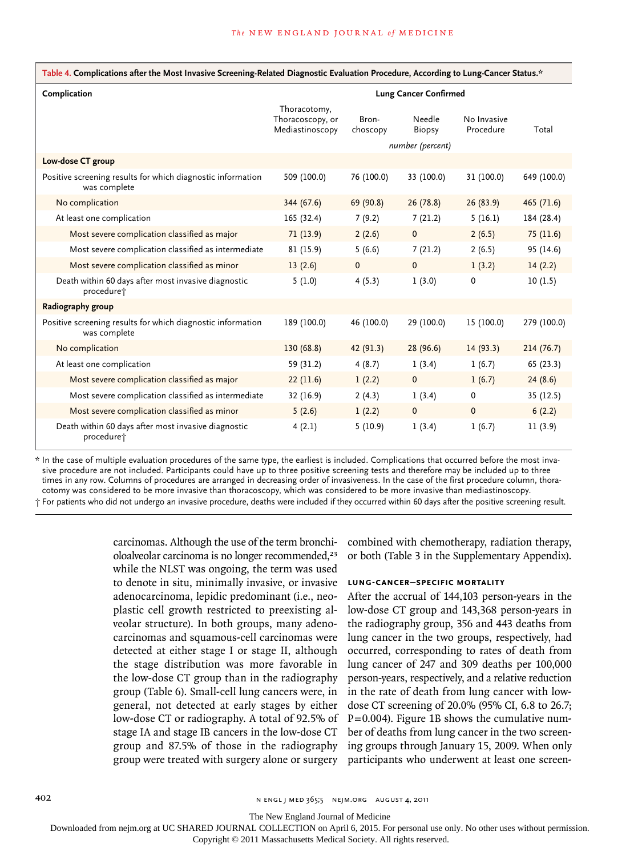| Table 4. Complications after the Most Invasive Screening-Related Diagnostic Evaluation Procedure, According to Lung-Cancer Status.* |                                                     |                   |                                      |                          |             |  |  |  |  |
|-------------------------------------------------------------------------------------------------------------------------------------|-----------------------------------------------------|-------------------|--------------------------------------|--------------------------|-------------|--|--|--|--|
| Complication                                                                                                                        |                                                     |                   | <b>Lung Cancer Confirmed</b>         |                          |             |  |  |  |  |
|                                                                                                                                     | Thoracotomy,<br>Thoracoscopy, or<br>Mediastinoscopy | Bron-<br>choscopy | Needle<br>Biopsy<br>number (percent) | No Invasive<br>Procedure | Total       |  |  |  |  |
| Low-dose CT group                                                                                                                   |                                                     |                   |                                      |                          |             |  |  |  |  |
| Positive screening results for which diagnostic information<br>was complete                                                         | 509 (100.0)                                         | 76 (100.0)        | 33 (100.0)                           | 31 (100.0)               | 649 (100.0) |  |  |  |  |
| No complication                                                                                                                     | 344 (67.6)                                          | 69 (90.8)         | 26(78.8)                             | 26(83.9)                 | 465 (71.6)  |  |  |  |  |
| At least one complication                                                                                                           | 165 (32.4)                                          | 7(9.2)            | 7(21.2)                              | 5(16.1)                  | 184 (28.4)  |  |  |  |  |
| Most severe complication classified as major                                                                                        | 71(13.9)                                            | 2(2.6)            | $\mathbf 0$                          | 2(6.5)                   | 75 (11.6)   |  |  |  |  |
| Most severe complication classified as intermediate                                                                                 | 81 (15.9)                                           | 5(6.6)            | 7(21.2)                              | 2(6.5)                   | 95 (14.6)   |  |  |  |  |
| Most severe complication classified as minor                                                                                        | 13(2.6)                                             | $\mathbf 0$       | $\mathbf 0$                          | 1(3.2)                   | 14(2.2)     |  |  |  |  |
| Death within 60 days after most invasive diagnostic<br>procedure <sup>+</sup>                                                       | 5(1.0)                                              | 4(5.3)            | 1(3.0)                               | 0                        | 10(1.5)     |  |  |  |  |
| Radiography group                                                                                                                   |                                                     |                   |                                      |                          |             |  |  |  |  |
| Positive screening results for which diagnostic information<br>was complete                                                         | 189 (100.0)                                         | 46 (100.0)        | 29 (100.0)                           | 15 (100.0)               | 279 (100.0) |  |  |  |  |
| No complication                                                                                                                     | 130 (68.8)                                          | 42 (91.3)         | 28 (96.6)                            | 14(93.3)                 | 214(76.7)   |  |  |  |  |
| At least one complication                                                                                                           | 59 (31.2)                                           | 4(8.7)            | 1(3.4)                               | 1(6.7)                   | 65(23.3)    |  |  |  |  |
| Most severe complication classified as major                                                                                        | 22(11.6)                                            | 1(2.2)            | $\mathbf 0$                          | 1(6.7)                   | 24(8.6)     |  |  |  |  |
| Most severe complication classified as intermediate                                                                                 | 32 (16.9)                                           | 2(4.3)            | 1(3.4)                               | $\mathbf 0$              | 35 (12.5)   |  |  |  |  |
| Most severe complication classified as minor                                                                                        | 5(2.6)                                              | 1(2.2)            | $\mathbf 0$                          | $\mathbf{0}$             | 6(2.2)      |  |  |  |  |
| Death within 60 days after most invasive diagnostic<br>procedure <sup>+</sup>                                                       | 4(2.1)                                              | 5(10.9)           | 1(3.4)                               | 1(6.7)                   | 11(3.9)     |  |  |  |  |

\* In the case of multiple evaluation procedures of the same type, the earliest is included. Complications that occurred before the most invasive procedure are not included. Participants could have up to three positive screening tests and therefore may be included up to three times in any row. Columns of procedures are arranged in decreasing order of invasiveness. In the case of the first procedure column, thoracotomy was considered to be more invasive than thoracoscopy, which was considered to be more invasive than mediastinoscopy. † For patients who did not undergo an invasive procedure, deaths were included if they occurred within 60 days after the positive screening result.

> carcinomas. Although the use of the term bronchioloalveolar carcinoma is no longer recommended,<sup>23</sup> while the NLST was ongoing, the term was used to denote in situ, minimally invasive, or invasive adenocarcinoma, lepidic predominant (i.e., neoplastic cell growth restricted to preexisting alveolar structure). In both groups, many adenocarcinomas and squamous-cell carcinomas were detected at either stage I or stage II, although the stage distribution was more favorable in the low-dose CT group than in the radiography group (Table 6). Small-cell lung cancers were, in general, not detected at early stages by either low-dose CT or radiography. A total of 92.5% of stage IA and stage IB cancers in the low-dose CT group and 87.5% of those in the radiography group were treated with surgery alone or surgery

combined with chemotherapy, radiation therapy, or both (Table 3 in the Supplementary Appendix).

#### **Lung-Cancer–Specific Mortality**

After the accrual of 144,103 person-years in the low-dose CT group and 143,368 person-years in the radiography group, 356 and 443 deaths from lung cancer in the two groups, respectively, had occurred, corresponding to rates of death from lung cancer of 247 and 309 deaths per 100,000 person-years, respectively, and a relative reduction in the rate of death from lung cancer with lowdose CT screening of 20.0% (95% CI, 6.8 to 26.7; P=0.004). Figure 1B shows the cumulative number of deaths from lung cancer in the two screening groups through January 15, 2009. When only participants who underwent at least one screen-

402 **n engl j med 365;5 nejm.org august 4.2011** 

The New England Journal of Medicine

Downloaded from nejm.org at UC SHARED JOURNAL COLLECTION on April 6, 2015. For personal use only. No other uses without permission.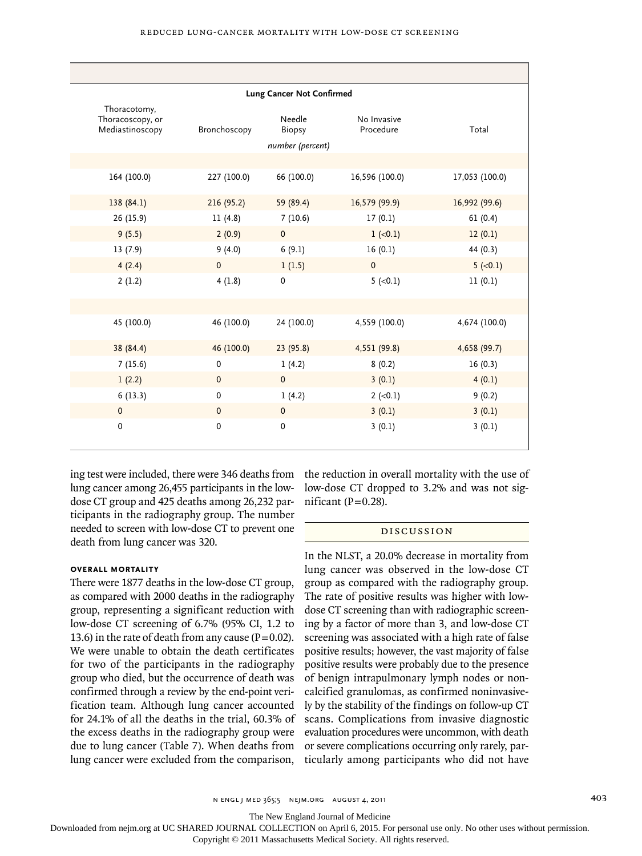|                                                     |              | Lung Cancer Not Confirmed                   |                          |                |
|-----------------------------------------------------|--------------|---------------------------------------------|--------------------------|----------------|
| Thoracotomy,<br>Thoracoscopy, or<br>Mediastinoscopy | Bronchoscopy | Needle<br><b>Biopsy</b><br>number (percent) | No Invasive<br>Procedure | Total          |
|                                                     |              |                                             |                          |                |
| 164 (100.0)                                         | 227 (100.0)  | 66 (100.0)                                  | 16,596 (100.0)           | 17,053 (100.0) |
| 138(84.1)                                           | 216(95.2)    | 59 (89.4)                                   | 16,579 (99.9)            | 16,992 (99.6)  |
| 26 (15.9)                                           | 11(4.8)      | 7(10.6)                                     | 17(0.1)                  | 61(0.4)        |
| 9(5.5)                                              | 2(0.9)       | $\mathbf 0$                                 | $1 (-0.1)$               | 12(0.1)        |
| 13(7.9)                                             | 9(4.0)       | 6(9.1)                                      | 16(0.1)                  | 44 (0.3)       |
| 4(2.4)                                              | $\mathbf 0$  | 1(1.5)                                      | $\mathbf{0}$             | $5 (-0.1)$     |
| 2(1.2)                                              | 4(1.8)       | 0                                           | $5 (-0.1)$               | 11(0.1)        |
|                                                     |              |                                             |                          |                |
| 45 (100.0)                                          | 46 (100.0)   | 24 (100.0)                                  | 4,559 (100.0)            | 4,674 (100.0)  |
| 38 (84.4)                                           | 46 (100.0)   | 23(95.8)                                    | 4,551 (99.8)             | 4,658 (99.7)   |
| 7(15.6)                                             | $\mathbf 0$  | 1(4.2)                                      | 8(0.2)                   | 16(0.3)        |
| 1(2.2)                                              | $\pmb{0}$    | $\mathbf 0$                                 | 3(0.1)                   | 4(0.1)         |
| 6(13.3)                                             | $\pmb{0}$    | 1(4.2)                                      | $2 (-0.1)$               | 9(0.2)         |
| $\mathbf 0$                                         | $\mathbf 0$  | $\mathbf 0$                                 | 3(0.1)                   | 3(0.1)         |
| $\pmb{0}$                                           | $\mathbf 0$  | $\pmb{0}$                                   | 3(0.1)                   | 3(0.1)         |

ing test were included, there were 346 deaths from lung cancer among 26,455 participants in the lowdose CT group and 425 deaths among 26,232 participants in the radiography group. The number needed to screen with low-dose CT to prevent one death from lung cancer was 320.

#### **Overall Mortality**

There were 1877 deaths in the low-dose CT group, as compared with 2000 deaths in the radiography group, representing a significant reduction with low-dose CT screening of 6.7% (95% CI, 1.2 to 13.6) in the rate of death from any cause ( $P=0.02$ ). We were unable to obtain the death certificates for two of the participants in the radiography group who died, but the occurrence of death was confirmed through a review by the end-point verification team. Although lung cancer accounted for 24.1% of all the deaths in the trial, 60.3% of the excess deaths in the radiography group were due to lung cancer (Table 7). When deaths from lung cancer were excluded from the comparison,

the reduction in overall mortality with the use of low-dose CT dropped to 3.2% and was not significant ( $P=0.28$ ).

#### Discussion

In the NLST, a 20.0% decrease in mortality from lung cancer was observed in the low-dose CT group as compared with the radiography group. The rate of positive results was higher with lowdose CT screening than with radiographic screening by a factor of more than 3, and low-dose CT screening was associated with a high rate of false positive results; however, the vast majority of false positive results were probably due to the presence of benign intrapulmonary lymph nodes or noncalcified granulomas, as confirmed noninvasively by the stability of the findings on follow-up CT scans. Complications from invasive diagnostic evaluation procedures were uncommon, with death or severe complications occurring only rarely, particularly among participants who did not have

The New England Journal of Medicine

Downloaded from nejm.org at UC SHARED JOURNAL COLLECTION on April 6, 2015. For personal use only. No other uses without permission.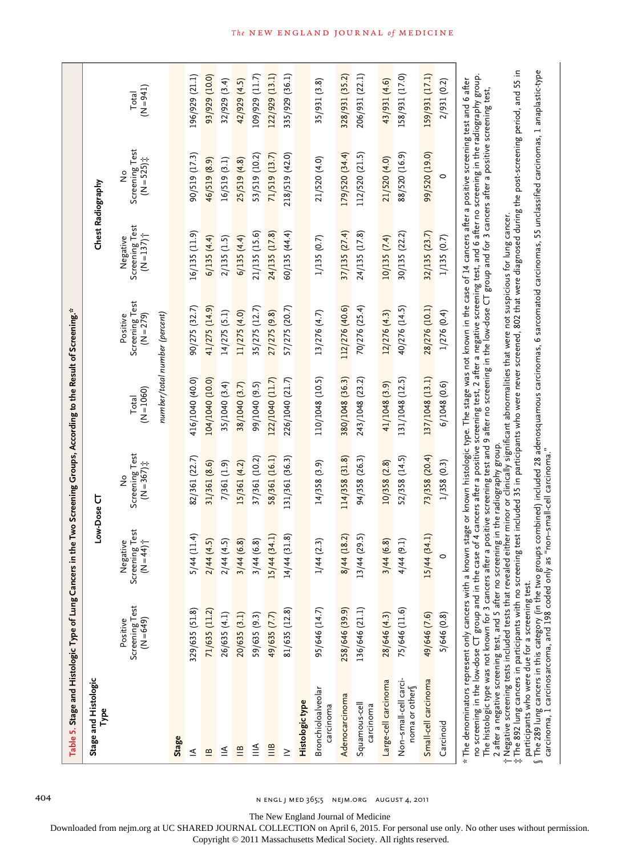| Stage and Histologic<br>Type                                                                                                                                                                                                                                                                                                                                                                                                                                                                                                                                                                                           |                                             | Low-Dose CT                                         |                                                |                       |                                           | Chest Radiography                                      |                                      |                    |
|------------------------------------------------------------------------------------------------------------------------------------------------------------------------------------------------------------------------------------------------------------------------------------------------------------------------------------------------------------------------------------------------------------------------------------------------------------------------------------------------------------------------------------------------------------------------------------------------------------------------|---------------------------------------------|-----------------------------------------------------|------------------------------------------------|-----------------------|-------------------------------------------|--------------------------------------------------------|--------------------------------------|--------------------|
|                                                                                                                                                                                                                                                                                                                                                                                                                                                                                                                                                                                                                        | Screening Test<br>( $N = 649$ )<br>Positive | Screening Test<br>$(N=44)$ <sup>+</sup><br>Negative | Screening Test<br>$(N = 367)$<br>$\frac{1}{2}$ | $(N = 1060)$<br>Total | Screening Test<br>( $N=279$ )<br>Positive | Screening Test<br>$(N = 137)$ <sup>+</sup><br>Negative | Screening Test<br>$(N = 525)$ #<br>ž | $(1+6=N)$<br>Total |
|                                                                                                                                                                                                                                                                                                                                                                                                                                                                                                                                                                                                                        |                                             |                                                     |                                                |                       | number/total number (percent)             |                                                        |                                      |                    |
| Stage                                                                                                                                                                                                                                                                                                                                                                                                                                                                                                                                                                                                                  |                                             |                                                     |                                                |                       |                                           |                                                        |                                      |                    |
| ≤                                                                                                                                                                                                                                                                                                                                                                                                                                                                                                                                                                                                                      | 329/635 (51.8)                              | $5/44$ (11.4)                                       | 82/361 (22.7)                                  | 416/1040 (40.0)       | 90/275 (32.7)                             | 16/135(11.9)                                           | 90/519 (17.3)                        | 196/929 (21.1)     |
| $\mathbf{r}$                                                                                                                                                                                                                                                                                                                                                                                                                                                                                                                                                                                                           | 71/635 (11.2)                               | 2/44(4.5)                                           | 31/361 (8.6)                                   | 104/1040 (10.0)       | 41/275 (14.9)                             | 6/135(4.4)                                             | 46/519 (8.9)                         | 93/929 (10.0)      |
| $\leq$                                                                                                                                                                                                                                                                                                                                                                                                                                                                                                                                                                                                                 | 26/635 (4.1)                                | 2/44(4.5)                                           | 7/361 (1.9)                                    | 35/1040 (3.4)         | 14/275 (5.1)                              | 2/135(1.5)                                             | 16/519 (3.1)                         | 32/929 (3.4)       |
| $\mathop{=}^{\mathop{\underline{\omega}}}% \mathop{=}^{\mathop{\underline{\omega}}% \mathop{=}^{\mathop{\underline{\omega}}% \mathop{=}^{\mathop{\underline{\omega}}% \mathop{=}^{\mathop{\underline{\omega}}% \mathop{=}^{\mathop{\underline{\omega}}% \mathop{=}^{\mathop{\underline{\omega}}% \mathop{=}^{\mathop{\underline{\omega}}% \mathop{=}^{\mathop{\underline{\omega}}% \mathop{=}^{\mathop{\underline{\omega}}% \mathop{=}^{\mathop{\underline{\omega}}% \mathop{=}^{\mathop{\underline{\omega}}% \mathop{=}^{\mathop{\underline{\omega}}% \mathop{=}^{\mathop{\underline{\omega}}% \mathop{=}^{\mathop{\$ | 20/635 (3.1)                                | 3/44(6.8)                                           | 15/361 (4.2)                                   | 38/1040 (3.7)         | 11/275 (4.0)                              | 6/135(4.4)                                             | 25/519(4.8)                          | 42/929 (4.5)       |
| $\leqq$                                                                                                                                                                                                                                                                                                                                                                                                                                                                                                                                                                                                                | 59/635 (9.3)                                | /44(6.8)<br>$\omega$                                | 37/361 (10.2)                                  | 99/1040 (9.5)         | 35/275 (12.7)                             | 21/135 (15.6)                                          | 53/519 (10.2)                        | 109/929 (11.7)     |
| $\mathop{\stackrel{\scriptscriptstyle{6}}{=}}\limits_{}^{8}$                                                                                                                                                                                                                                                                                                                                                                                                                                                                                                                                                           | 49/635 (7.7)                                | 15/44(34.1)                                         | 58/361 (16.1)                                  | 122/1040 (11.7)       | 27/275 (9.8)                              | 24/135 (17.8)                                          | 71/519 (13.7)                        | 122/929 (13.1)     |
| $\geq$                                                                                                                                                                                                                                                                                                                                                                                                                                                                                                                                                                                                                 | 81/635 (12.8)                               | $14/44$ (31.8)                                      | 131/361 (36.3)                                 | 226/1040 (21.7)       | 57/275 (20.7)                             | 60/135 (44.4)                                          | 218/519 (42.0)                       | 335/929 (36.1)     |
| Histologic type                                                                                                                                                                                                                                                                                                                                                                                                                                                                                                                                                                                                        |                                             |                                                     |                                                |                       |                                           |                                                        |                                      |                    |
| Bronchioloalveolar<br>carcinoma                                                                                                                                                                                                                                                                                                                                                                                                                                                                                                                                                                                        | 95/646 (14.7)                               | 1/44(2.3)                                           | 14/358(3.9)                                    | 110/1048 (10.5)       | 13/276 (4.7)                              | 1/135(0.7)                                             | 21/520 (4.0)                         | 35/931 (3.8)       |
| Adenocarcinoma                                                                                                                                                                                                                                                                                                                                                                                                                                                                                                                                                                                                         | 258/646 (39.9)                              | 8/44 (18.2)                                         | 114/358 (31.8)                                 | 380/1048 (36.3)       | 112/276 (40.6)                            | 37/135 (27.4)                                          | 179/520 (34.4)                       | 328/931 (35.2)     |
| Squamous-cell<br>carcinoma                                                                                                                                                                                                                                                                                                                                                                                                                                                                                                                                                                                             | 136/646 (21.1)                              | $13/44$ (29.5)                                      | 94/358 (26.3)                                  | 243/1048 (23.2)       | 70/276 (25.4)                             | 24/135 (17.8)                                          | 112/520 (21.5)                       | 206/931 (22.1)     |
| Large-cell carcinoma                                                                                                                                                                                                                                                                                                                                                                                                                                                                                                                                                                                                   | 28/646 (4.3)                                | /44(6.8)<br>3,                                      | 10/358(2.8)                                    | 41/1048 (3.9)         | 12/276 (4.3)                              | 10/135(7.4)                                            | 21/520 (4.0)                         | 43/931 (4.6)       |
| Non-small-cell carci-<br>noma or other                                                                                                                                                                                                                                                                                                                                                                                                                                                                                                                                                                                 | 75/646 (11.6)                               | 4/44(9.1)                                           | 52/358 (14.5)                                  | 131/1048 (12.5)       | 40/276 (14.5)                             | 30/135 (22.2)                                          | 88/520 (16.9)                        | 158/931 (17.0)     |
| Small-cell carcinoma                                                                                                                                                                                                                                                                                                                                                                                                                                                                                                                                                                                                   | 49/646 (7.6)                                | /44(34.1)<br>15                                     | 73/358 (20.4)                                  | 137/1048 (13.1)       | 28/276 (10.1)                             | 32/135 (23.7)                                          | 99/520 (19.0)                        | 159/931 (17.1)     |
| Carcinoid                                                                                                                                                                                                                                                                                                                                                                                                                                                                                                                                                                                                              | 5/646 (0.8)                                 | $\circ$                                             | 1/358(0.3)                                     | 6/1048 (0.6)          | 1/276 (0.4)                               | 1/135(0.7)                                             | 0                                    | 2/931 (0.2)        |

 $\emptyset$  The 289 lung cancers in this category (in the two groups combined) included 28 adenosquamous carcinomas, 6 sarcomatoid carcinomas, 55 unclassified carcinomas, 1 anaplastic-type

participants who were due for a screening test.

carcinoma, 1 carcinosarcoma, and 198 coded only as "non–small-cell carcinoma."

§

The New England Journal of Medicine

Downloaded from nejm.org at UC SHARED JOURNAL COLLECTION on April 6, 2015. For personal use only. No other uses without permission.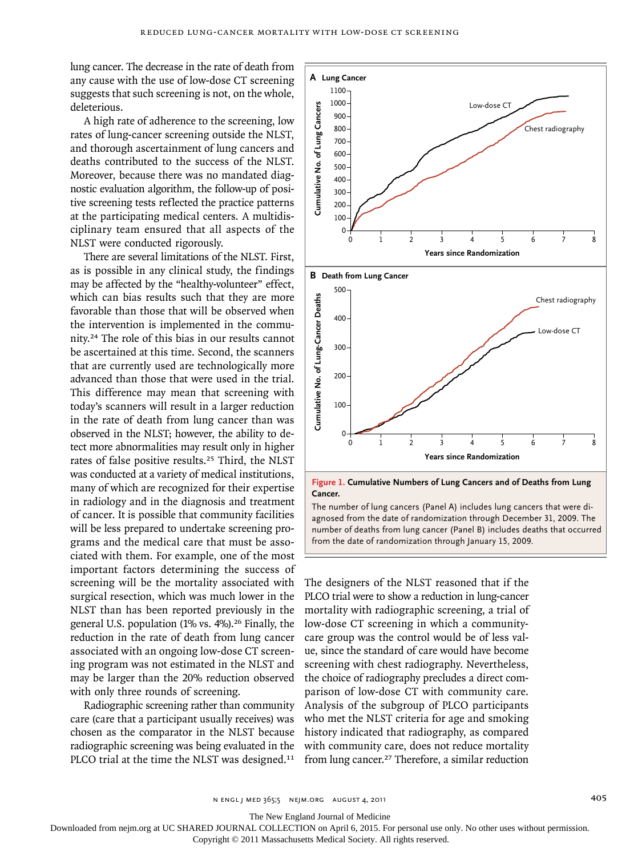lung cancer. The decrease in the rate of death from any cause with the use of low-dose CT screening suggests that such screening is not, on the whole, deleterious.

A high rate of adherence to the screening, low rates of lung-cancer screening outside the NLST, and thorough ascertainment of lung cancers and deaths contributed to the success of the NLST. Moreover, because there was no mandated diagnostic evaluation algorithm, the follow-up of positive screening tests reflected the practice patterns at the participating medical centers. A multidisciplinary team ensured that all aspects of the NLST were conducted rigorously.

There are several limitations of the NLST. First, as is possible in any clinical study, the findings may be affected by the "healthy-volunteer" effect, which can bias results such that they are more favorable than those that will be observed when the intervention is implemented in the community.24 The role of this bias in our results cannot be ascertained at this time. Second, the scanners that are currently used are technologically more advanced than those that were used in the trial. This difference may mean that screening with today's scanners will result in a larger reduction in the rate of death from lung cancer than was observed in the NLST; however, the ability to detect more abnormalities may result only in higher rates of false positive results.25 Third, the NLST was conducted at a variety of medical institutions, many of which are recognized for their expertise in radiology and in the diagnosis and treatment of cancer. It is possible that community facilities will be less prepared to undertake screening programs and the medical care that must be associated with them. For example, one of the most important factors determining the success of screening will be the mortality associated with surgical resection, which was much lower in the NLST than has been reported previously in the general U.S. population  $(1\% \text{ vs. } 4\%)$ .<sup>26</sup> Finally, the reduction in the rate of death from lung cancer associated with an ongoing low-dose CT screening program was not estimated in the NLST and may be larger than the 20% reduction observed with only three rounds of screening.

Radiographic screening rather than community care (care that a participant usually receives) was chosen as the comparator in the NLST because radiographic screening was being evaluated in the PLCO trial at the time the NLST was designed.<sup>11</sup>



The number of lung cancers (Panel A) includes lung cancers that were diagnosed from the date of randomization through December 31, 2009. The number of deaths from lung cancer (Panel B) includes deaths that occurred from the date of randomization through January 15, 2009.

The designers of the NLST reasoned that if the PLCO trial were to show a reduction in lung-cancer mortality with radiographic screening, a trial of low-dose CT screening in which a communitycare group was the control would be of less value, since the standard of care would have become screening with chest radiography. Nevertheless, the choice of radiography precludes a direct comparison of low-dose CT with community care. Analysis of the subgroup of PLCO participants who met the NLST criteria for age and smoking history indicated that radiography, as compared with community care, does not reduce mortality

The New England Journal of Medicine

Downloaded from nejm.org at UC SHARED JOURNAL COLLECTION on April 6, 2015. For personal use only. No other uses without permission.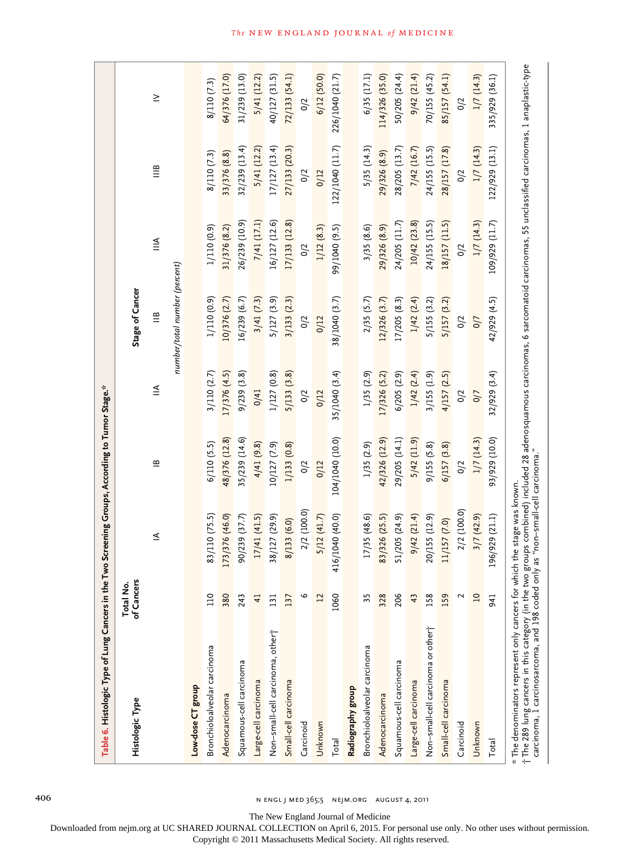| Table 6. Histologic Type of Lung Cancers in the Two Screening Groups, According to Tumor Stage.*                                                                                                                                                                                                              |                         |                 |                 |               |                                      |                           |                                    |                 |
|---------------------------------------------------------------------------------------------------------------------------------------------------------------------------------------------------------------------------------------------------------------------------------------------------------------|-------------------------|-----------------|-----------------|---------------|--------------------------------------|---------------------------|------------------------------------|-----------------|
| Histologic Type                                                                                                                                                                                                                                                                                               | of Cancers<br>Total No. |                 |                 |               | Stage of Cancer                      |                           |                                    |                 |
|                                                                                                                                                                                                                                                                                                               |                         | ≤               | $\mathbf{r}$    | $\leqq$       | $\stackrel{\textstyle\mathsf{m}}{=}$ | $\stackrel{\leq}{\equiv}$ | $\mathop{=}^{\mathop{\mathsf{m}}}$ | $\geq$          |
|                                                                                                                                                                                                                                                                                                               |                         |                 |                 |               | number/total number (percent)        |                           |                                    |                 |
| Low-dose CT group                                                                                                                                                                                                                                                                                             |                         |                 |                 |               |                                      |                           |                                    |                 |
| Bronchioloalveolar carcinoma                                                                                                                                                                                                                                                                                  | <b>DIT</b>              | 83/110 (75.5)   | 6/110(5.5)      | 3/110(2.7)    | 1/110 (0.9)                          | 1/110 (0.9)               | 8/110 (7.3)                        | 8/110 (7.3)     |
| Adenocarcinoma                                                                                                                                                                                                                                                                                                | 380                     | 173/376 (46.0)  | 48/376 (12.8)   | 17/376 (4.5)  | 10/376 (2.7)                         | 31/376 (8.2)              | 33/376 (8.8)                       | 64/376 (17.0)   |
| Squamous-cell carcinoma                                                                                                                                                                                                                                                                                       | 243                     | 90/239 (37.7)   | 35/239 (14.6)   | 9/239(3.8)    | 16/239 (6.7)                         | 26/239 (10.9)             | $32/239$ (13.4)                    | 31/239 (13.0)   |
| Large-cell carcinoma                                                                                                                                                                                                                                                                                          | $\overline{4}$          | 17/41(41.5)     | 4/41(9.8)       | 0/41          | 3/41(7.3)                            | 7/41 (17.1)               | 5/41 (12.2)                        | 5/41(12.2)      |
| Non-small-cell carcinoma, other                                                                                                                                                                                                                                                                               | 131                     | 38/127 (29.9)   | 10/127 (7.9)    | 1/127 (0.8)   | 5/127 (3.9)                          | 16/127 (12.6)             | 17/127 (13.4)                      | 40/127 (31.5)   |
| Small-cell carcinoma                                                                                                                                                                                                                                                                                          | 137                     | 8/133 (6.0)     | 1/133(0.8)      | 5/133(3.8)    | 3/133(2.3)                           | 17/133 (12.8)             | 27/133 (20.3)                      | 72/133 (54.1)   |
| Carcinoid                                                                                                                                                                                                                                                                                                     | م                       | 2/2 (100.0)     | 0/2             | 0/2           | 0/2                                  | 0/2                       | 0/2                                | 0/2             |
| Unknown                                                                                                                                                                                                                                                                                                       | 12                      | 5/12(41.7)      | 0/12            | 0/12          | 0/12                                 | 1/12(8.3)                 | 0/12                               | 6/12(50.0)      |
| Total                                                                                                                                                                                                                                                                                                         | 1060                    | 416/1040 (40.0) | 104/1040 (10.0) | 35/1040 (3.4) | 38/1040 (3.7)                        | 99/1040 (9.5)             | 122/1040 (11.7)                    | 226/1040 (21.7) |
| Radiography group                                                                                                                                                                                                                                                                                             |                         |                 |                 |               |                                      |                           |                                    |                 |
| Bronchioloalveolar carcinoma                                                                                                                                                                                                                                                                                  | 35                      | 17/35 (48.6)    | 1/35(2.9)       | 1/35(2.9)     | 2/35(5.7)                            | 3/35(8.6)                 | 5/35(14.3)                         | 6/35(17.1)      |
| Adenocarcinoma                                                                                                                                                                                                                                                                                                | 328                     | 83/326 (25.5)   | 42/326 (12.9)   | 17/326 (5.2)  | 12/326 (3.7)                         | 29/326 (8.9)              | 29/326 (8.9)                       | 114/326 (35.0)  |
| Squamous-cell carcinoma                                                                                                                                                                                                                                                                                       | 206                     | 51/205 (24.9)   | 29/205 (14.1)   | 6/205 (2.9)   | 17/205 (8.3)                         | 24/205 (11.7)             | 28/205 (13.7)                      | 50/205 (24.4)   |
| Large-cell carcinoma                                                                                                                                                                                                                                                                                          | 43                      | 9/42(21.4)      | $5/42$ (11.9)   | 1/42(2.4)     | 1/42(2.4)                            | 10/42(23.8)               | 7/42 (16.7)                        | 9/42(21.4)      |
| Non-small-cell carcinoma or other                                                                                                                                                                                                                                                                             | 158                     | 20/155 (12.9)   | 9/155(5.8)      | 3/155(1.9)    | 5/155 (3.2)                          | 24/155 (15.5)             | 24/155 (15.5)                      | 70/155 (45.2)   |
| Small-cell carcinoma                                                                                                                                                                                                                                                                                          | 159                     | 11/157 (7.0)    | 6/157(3.8)      | 4/157(2.5)    | 5/157 (3.2)                          | 18/157 (11.5)             | 28/157 (17.8)                      | 85/157 (54.1)   |
| Carcinoid                                                                                                                                                                                                                                                                                                     | 2                       | 2/2 (100.0)     | 0/2             | 0/2           | 0/2                                  | 0/2                       | 0/2                                | 0/2             |
| Unknown                                                                                                                                                                                                                                                                                                       | $\overline{10}$         | 3/7(42.9)       | 1/7(14.3)       | 0/7           | 0/7                                  | 1/7(14.3)                 | 1/7(14.3)                          | 1/7(14.3)       |
| Total                                                                                                                                                                                                                                                                                                         | 941                     | 196/929 (21.1)  | 93/929 (10.0)   | 32/929 (3.4)  | 42/929 (4.5)                         | 109/929 (11.7)            | 122/929 (13.1)                     | 335/929 (36.1)  |
| †The 289 lung cancers in this category (in the two groups combined) included 28 adenosquamous carcinomas, 6 sarcomatoid carcinomas, 55 unclassified carcinomas, 1 anaplastic-type<br>carcinoma, 1 carcinosarcoma, and 198 coded o<br>* The denominators represent only cancers for which the stage was known. |                         |                 |                 |               |                                      |                           |                                    |                 |

406 n engl j med 365;5 nejm.org august 4, 2011

The New England Journal of Medicine

Downloaded from nejm.org at UC SHARED JOURNAL COLLECTION on April 6, 2015. For personal use only. No other uses without permission.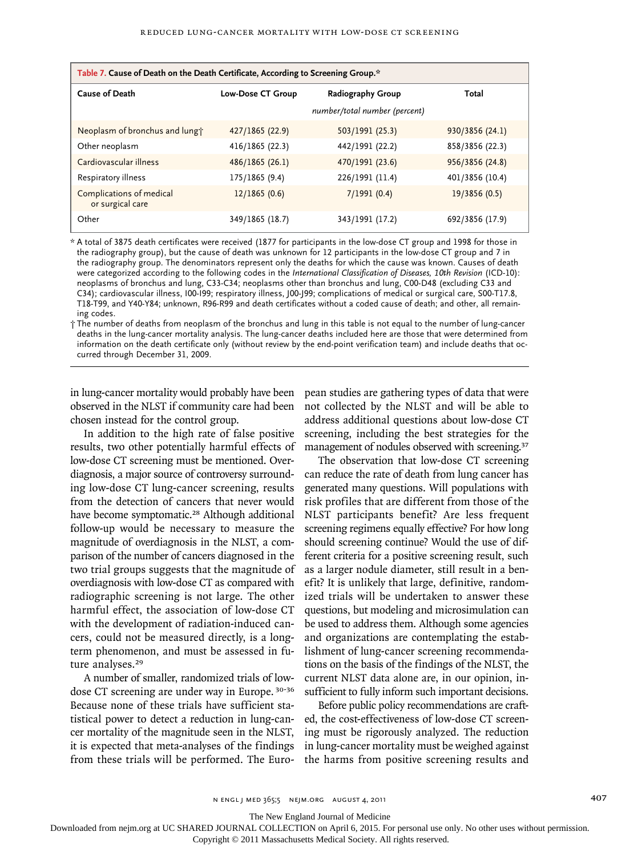| Table 7. Cause of Death on the Death Certificate, According to Screening Group.* |                          |                               |                 |
|----------------------------------------------------------------------------------|--------------------------|-------------------------------|-----------------|
| <b>Cause of Death</b>                                                            | <b>Low-Dose CT Group</b> | <b>Radiography Group</b>      | Total           |
|                                                                                  |                          | number/total number (percent) |                 |
| Neoplasm of bronchus and lungt                                                   | 427/1865 (22.9)          | 503/1991 (25.3)               | 930/3856 (24.1) |
| Other neoplasm                                                                   | 416/1865 (22.3)          | 442/1991 (22.2)               | 858/3856 (22.3) |
| Cardiovascular illness                                                           | 486/1865(26.1)           | 470/1991 (23.6)               | 956/3856 (24.8) |
| Respiratory illness                                                              | 175/1865 (9.4)           | 226/1991 (11.4)               | 401/3856 (10.4) |
| Complications of medical<br>or surgical care                                     | 12/1865(0.6)             | 7/1991(0.4)                   | 19/3856 (0.5)   |
| Other                                                                            | 349/1865 (18.7)          | 343/1991 (17.2)               | 692/3856 (17.9) |

\* A total of 3875 death certificates were received (1877 for participants in the low-dose CT group and 1998 for those in the radiography group), but the cause of death was unknown for 12 participants in the low-dose CT group and 7 in the radiography group. The denominators represent only the deaths for which the cause was known. Causes of death were categorized according to the following codes in the *International Classification of Diseases, 10th Revision* (ICD-10): neoplasms of bronchus and lung, C33-C34; neoplasms other than bronchus and lung, C00-D48 (excluding C33 and C34); cardiovascular illness, I00-I99; respiratory illness, J00-J99; complications of medical or surgical care, S00-T17.8, T18-T99, and Y40-Y84; unknown, R96-R99 and death certificates without a coded cause of death; and other, all remaining codes.

† The number of deaths from neoplasm of the bronchus and lung in this table is not equal to the number of lung-cancer deaths in the lung-cancer mortality analysis. The lung-cancer deaths included here are those that were determined from information on the death certificate only (without review by the end-point verification team) and include deaths that occurred through December 31, 2009.

in lung-cancer mortality would probably have been pean studies are gathering types of data that were observed in the NLST if community care had been not collected by the NLST and will be able to chosen instead for the control group.

In addition to the high rate of false positive results, two other potentially harmful effects of low-dose CT screening must be mentioned. Overdiagnosis, a major source of controversy surrounding low-dose CT lung-cancer screening, results from the detection of cancers that never would have become symptomatic.<sup>28</sup> Although additional follow-up would be necessary to measure the magnitude of overdiagnosis in the NLST, a comparison of the number of cancers diagnosed in the two trial groups suggests that the magnitude of overdiagnosis with low-dose CT as compared with radiographic screening is not large. The other harmful effect, the association of low-dose CT with the development of radiation-induced cancers, could not be measured directly, is a longterm phenomenon, and must be assessed in future analyses.<sup>29</sup>

A number of smaller, randomized trials of lowdose CT screening are under way in Europe. 30-36 Because none of these trials have sufficient statistical power to detect a reduction in lung-cancer mortality of the magnitude seen in the NLST, it is expected that meta-analyses of the findings from these trials will be performed. The Euro-

address additional questions about low-dose CT screening, including the best strategies for the management of nodules observed with screening.<sup>37</sup>

The observation that low-dose CT screening can reduce the rate of death from lung cancer has generated many questions. Will populations with risk profiles that are different from those of the NLST participants benefit? Are less frequent screening regimens equally effective? For how long should screening continue? Would the use of different criteria for a positive screening result, such as a larger nodule diameter, still result in a benefit? It is unlikely that large, definitive, randomized trials will be undertaken to answer these questions, but modeling and microsimulation can be used to address them. Although some agencies and organizations are contemplating the establishment of lung-cancer screening recommendations on the basis of the findings of the NLST, the current NLST data alone are, in our opinion, insufficient to fully inform such important decisions.

Before public policy recommendations are crafted, the cost-effectiveness of low-dose CT screening must be rigorously analyzed. The reduction in lung-cancer mortality must be weighed against the harms from positive screening results and

The New England Journal of Medicine

Downloaded from nejm.org at UC SHARED JOURNAL COLLECTION on April 6, 2015. For personal use only. No other uses without permission.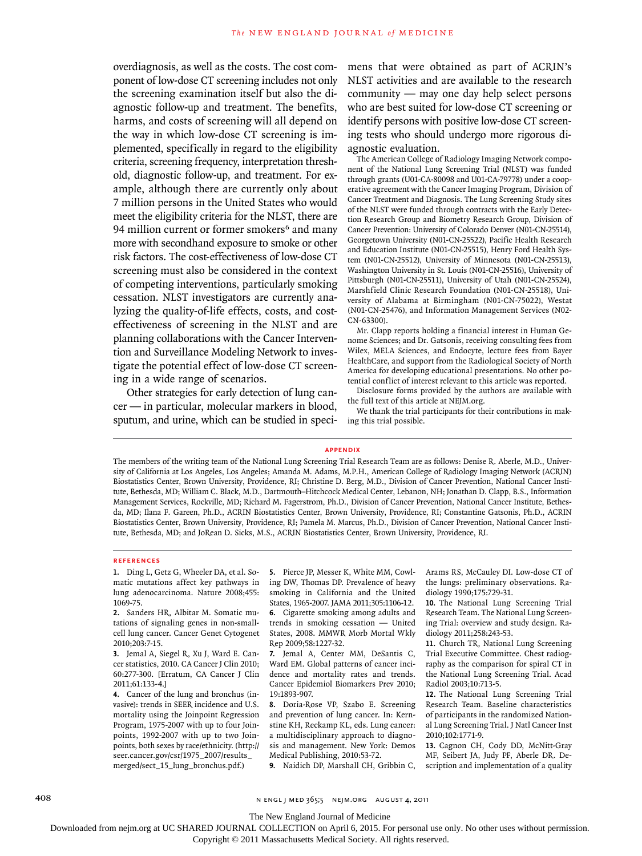overdiagnosis, as well as the costs. The cost component of low-dose CT screening includes not only the screening examination itself but also the diagnostic follow-up and treatment. The benefits, harms, and costs of screening will all depend on the way in which low-dose CT screening is implemented, specifically in regard to the eligibility criteria, screening frequency, interpretation threshold, diagnostic follow-up, and treatment. For example, although there are currently only about 7 million persons in the United States who would meet the eligibility criteria for the NLST, there are 94 million current or former smokers<sup>6</sup> and many more with secondhand exposure to smoke or other risk factors. The cost-effectiveness of low-dose CT screening must also be considered in the context of competing interventions, particularly smoking cessation. NLST investigators are currently analyzing the quality-of-life effects, costs, and costeffectiveness of screening in the NLST and are planning collaborations with the Cancer Intervention and Surveillance Modeling Network to investigate the potential effect of low-dose CT screening in a wide range of scenarios.

Other strategies for early detection of lung cancer — in particular, molecular markers in blood, sputum, and urine, which can be studied in specimens that were obtained as part of ACRIN's NLST activities and are available to the research community — may one day help select persons who are best suited for low-dose CT screening or identify persons with positive low-dose CT screening tests who should undergo more rigorous diagnostic evaluation.

The American College of Radiology Imaging Network component of the National Lung Screening Trial (NLST) was funded through grants (U01-CA-80098 and U01-CA-79778) under a cooperative agreement with the Cancer Imaging Program, Division of Cancer Treatment and Diagnosis. The Lung Screening Study sites of the NLST were funded through contracts with the Early Detection Research Group and Biometry Research Group, Division of Cancer Prevention: University of Colorado Denver (N01-CN-25514), Georgetown University (N01-CN-25522), Pacific Health Research and Education Institute (N01-CN-25515), Henry Ford Health System (N01-CN-25512), University of Minnesota (N01-CN-25513), Washington University in St. Louis (N01-CN-25516), University of Pittsburgh (N01-CN-25511), University of Utah (N01-CN-25524), Marshfield Clinic Research Foundation (N01-CN-25518), University of Alabama at Birmingham (N01-CN-75022), Westat (N01-CN-25476), and Information Management Services (N02- CN-63300).

Mr. Clapp reports holding a financial interest in Human Genome Sciences; and Dr. Gatsonis, receiving consulting fees from Wilex, MELA Sciences, and Endocyte, lecture fees from Bayer HealthCare, and support from the Radiological Society of North America for developing educational presentations. No other potential conflict of interest relevant to this article was reported.

Disclosure forms provided by the authors are available with the full text of this article at NEJM.org.

We thank the trial participants for their contributions in making this trial possible.

#### **appendix**

The members of the writing team of the National Lung Screening Trial Research Team are as follows: Denise R. Aberle, M.D., University of California at Los Angeles, Los Angeles; Amanda M. Adams, M.P.H., American College of Radiology Imaging Network (ACRIN) Biostatistics Center, Brown University, Providence, RI; Christine D. Berg, M.D., Division of Cancer Prevention, National Cancer Institute, Bethesda, MD; William C. Black, M.D., Dartmouth–Hitchcock Medical Center, Lebanon, NH; Jonathan D. Clapp, B.S., Information Management Services, Rockville, MD; Richard M. Fagerstrom, Ph.D., Division of Cancer Prevention, National Cancer Institute, Bethesda, MD; Ilana F. Gareen, Ph.D., ACRIN Biostatistics Center, Brown University, Providence, RI; Constantine Gatsonis, Ph.D., ACRIN Biostatistics Center, Brown University, Providence, RI; Pamela M. Marcus, Ph.D., Division of Cancer Prevention, National Cancer Institute, Bethesda, MD; and JoRean D. Sicks, M.S., ACRIN Biostatistics Center, Brown University, Providence, RI.

#### **References**

**1.** Ding L, Getz G, Wheeler DA, et al. Somatic mutations affect key pathways in lung adenocarcinoma. Nature 2008;455: 1069-75.

**2.** Sanders HR, Albitar M. Somatic mutations of signaling genes in non-smallcell lung cancer. Cancer Genet Cytogenet 2010;203:7-15.

**3.** Jemal A, Siegel R, Xu J, Ward E. Cancer statistics, 2010. CA Cancer J Clin 2010; 60:277-300. [Erratum, CA Cancer J Clin 2011;61:133-4.]

**4.** Cancer of the lung and bronchus (invasive): trends in SEER incidence and U.S. mortality using the Joinpoint Regression Program, 1975-2007 with up to four Joinpoints, 1992-2007 with up to two Joinpoints, both sexes by race/ethnicity. (http:// seer.cancer.gov/csr/1975\_2007/results\_ merged/sect\_15\_lung\_bronchus.pdf.)

**5.** Pierce JP, Messer K, White MM, Cowling DW, Thomas DP. Prevalence of heavy smoking in California and the United States, 1965-2007. JAMA 2011;305:1106-12. **6.** Cigarette smoking among adults and

trends in smoking cessation — United States, 2008. MMWR Morb Mortal Wkly Rep 2009;58:1227-32. **7.** Jemal A, Center MM, DeSantis C,

Ward EM. Global patterns of cancer incidence and mortality rates and trends. Cancer Epidemiol Biomarkers Prev 2010; 19:1893-907.

**8.** Doria-Rose VP, Szabo E. Screening and prevention of lung cancer. In: Kernstine KH, Reckamp KL, eds. Lung cancer: a multidisciplinary approach to diagnosis and management. New York: Demos Medical Publishing, 2010:53-72.

**9.** Naidich DP, Marshall CH, Gribbin C,

Arams RS, McCauley DI. Low-dose CT of the lungs: preliminary observations. Radiology 1990;175:729-31.

**10.** The National Lung Screening Trial Research Team. The National Lung Screening Trial: overview and study design. Radiology 2011;258:243-53.

**11.** Church TR, National Lung Screening Trial Executive Committee. Chest radiography as the comparison for spiral CT in the National Lung Screening Trial. Acad Radiol 2003;10:713-5.

**12.** The National Lung Screening Trial Research Team. Baseline characteristics of participants in the randomized National Lung Screening Trial. J Natl Cancer Inst 2010;102:1771-9.

**13.** Cagnon CH, Cody DD, McNitt-Gray MF, Seibert JA, Judy PF, Aberle DR. Description and implementation of a quality

408 n engl j med 365;5 nejm.org august 4, 2011

The New England Journal of Medicine

Downloaded from nejm.org at UC SHARED JOURNAL COLLECTION on April 6, 2015. For personal use only. No other uses without permission.